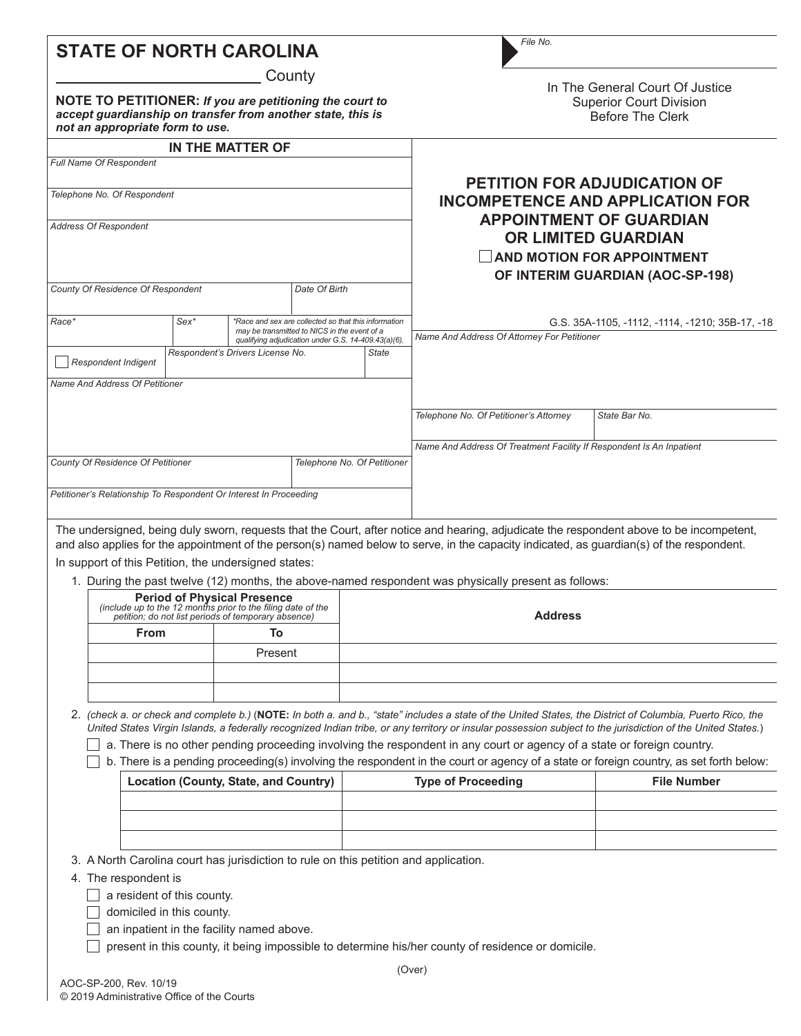| <b>STATE OF NORTH CAROLINA</b>                                                                                                                            |        |                                  |                                                                                                                                                             |                                                                                                                                                                                                                  | File No.                                                                                                                                                                                                                                                                             |               |  |
|-----------------------------------------------------------------------------------------------------------------------------------------------------------|--------|----------------------------------|-------------------------------------------------------------------------------------------------------------------------------------------------------------|------------------------------------------------------------------------------------------------------------------------------------------------------------------------------------------------------------------|--------------------------------------------------------------------------------------------------------------------------------------------------------------------------------------------------------------------------------------------------------------------------------------|---------------|--|
|                                                                                                                                                           |        |                                  | County                                                                                                                                                      |                                                                                                                                                                                                                  |                                                                                                                                                                                                                                                                                      |               |  |
| NOTE TO PETITIONER: If you are petitioning the court to<br>accept guardianship on transfer from another state, this is<br>not an appropriate form to use. |        |                                  |                                                                                                                                                             | In The General Court Of Justice<br><b>Superior Court Division</b><br>Before The Clerk                                                                                                                            |                                                                                                                                                                                                                                                                                      |               |  |
|                                                                                                                                                           |        | <b>IN THE MATTER OF</b>          |                                                                                                                                                             |                                                                                                                                                                                                                  |                                                                                                                                                                                                                                                                                      |               |  |
| Full Name Of Respondent                                                                                                                                   |        |                                  |                                                                                                                                                             |                                                                                                                                                                                                                  |                                                                                                                                                                                                                                                                                      |               |  |
| Telephone No. Of Respondent                                                                                                                               |        |                                  |                                                                                                                                                             | <b>PETITION FOR ADJUDICATION OF</b><br><b>INCOMPETENCE AND APPLICATION FOR</b><br><b>APPOINTMENT OF GUARDIAN</b><br><b>OR LIMITED GUARDIAN</b><br>AND MOTION FOR APPOINTMENT<br>OF INTERIM GUARDIAN (AOC-SP-198) |                                                                                                                                                                                                                                                                                      |               |  |
| <b>Address Of Respondent</b>                                                                                                                              |        |                                  |                                                                                                                                                             |                                                                                                                                                                                                                  |                                                                                                                                                                                                                                                                                      |               |  |
| County Of Residence Of Respondent<br>Date Of Birth                                                                                                        |        |                                  |                                                                                                                                                             |                                                                                                                                                                                                                  |                                                                                                                                                                                                                                                                                      |               |  |
| Race*                                                                                                                                                     | $Sex*$ |                                  | *Race and sex are collected so that this information<br>may be transmitted to NICS in the event of a<br>qualifying adjudication under G.S. 14-409.43(a)(6). |                                                                                                                                                                                                                  | G.S. 35A-1105, -1112, -1114, -1210; 35B-17, -18<br>Name And Address Of Attorney For Petitioner                                                                                                                                                                                       |               |  |
| <b>Respondent Indigent</b>                                                                                                                                |        | Respondent's Drivers License No. |                                                                                                                                                             | <b>State</b>                                                                                                                                                                                                     |                                                                                                                                                                                                                                                                                      |               |  |
| Name And Address Of Petitioner                                                                                                                            |        |                                  |                                                                                                                                                             |                                                                                                                                                                                                                  |                                                                                                                                                                                                                                                                                      |               |  |
|                                                                                                                                                           |        |                                  |                                                                                                                                                             |                                                                                                                                                                                                                  | Telephone No. Of Petitioner's Attorney                                                                                                                                                                                                                                               | State Bar No. |  |
|                                                                                                                                                           |        |                                  |                                                                                                                                                             |                                                                                                                                                                                                                  | Name And Address Of Treatment Facility If Respondent Is An Inpatient                                                                                                                                                                                                                 |               |  |
| County Of Residence Of Petitioner<br>Telephone No. Of Petitioner                                                                                          |        |                                  |                                                                                                                                                             |                                                                                                                                                                                                                  |                                                                                                                                                                                                                                                                                      |               |  |
| Petitioner's Relationship To Respondent Or Interest In Proceeding                                                                                         |        |                                  |                                                                                                                                                             |                                                                                                                                                                                                                  |                                                                                                                                                                                                                                                                                      |               |  |
|                                                                                                                                                           |        |                                  |                                                                                                                                                             |                                                                                                                                                                                                                  | The undersigned, being duly sworn, requests that the Court, after notice and hearing, adjudicate the respondent above to be incompetent,<br>and also applies for the appointment of the person(s) named below to serve, in the capacity indicated, as guardian(s) of the respondent. |               |  |
| In support of this Petition, the undersigned states:                                                                                                      |        |                                  |                                                                                                                                                             |                                                                                                                                                                                                                  |                                                                                                                                                                                                                                                                                      |               |  |
|                                                                                                                                                           |        |                                  |                                                                                                                                                             |                                                                                                                                                                                                                  | 1. During the past twelve (12) months, the above-named respondent was physically present as follows:                                                                                                                                                                                 |               |  |
|                                                                                                                                                           |        | Deviad of Dhuaisel Dresspes      |                                                                                                                                                             |                                                                                                                                                                                                                  |                                                                                                                                                                                                                                                                                      |               |  |

|      | <b>Period of Physical Presence</b><br>(include up to the 12 months prior to the filing date of the<br>petition; do not list periods of temporary absence) | <b>Address</b> |  |  |
|------|-----------------------------------------------------------------------------------------------------------------------------------------------------------|----------------|--|--|
| From |                                                                                                                                                           |                |  |  |
|      | Present                                                                                                                                                   |                |  |  |
|      |                                                                                                                                                           |                |  |  |
|      |                                                                                                                                                           |                |  |  |

2. *(check a. or check and complete b.)* (**NOTE:** *In both a. and b., "state" includes a state of the United States, the District of Columbia, Puerto Rico, the United States Virgin Islands, a federally recognized Indian tribe, or any territory or insular possession subject to the jurisdiction of the United States.*)

 $\Box$  a. There is no other pending proceeding involving the respondent in any court or agency of a state or foreign country.

 $\Box$  b. There is a pending proceeding(s) involving the respondent in the court or agency of a state or foreign country, as set forth below:

| Location (County, State, and Country) | <b>Type of Proceeding</b> | <b>File Number</b> |
|---------------------------------------|---------------------------|--------------------|
|                                       |                           |                    |
|                                       |                           |                    |
|                                       |                           |                    |

3. A North Carolina court has jurisdiction to rule on this petition and application.

4. The respondent is

 $\Box$  a resident of this county.

- $\Box$  domiciled in this county.
- $\Box$  an inpatient in the facility named above.

**present in this county, it being impossible to determine his/her county of residence or domicile.**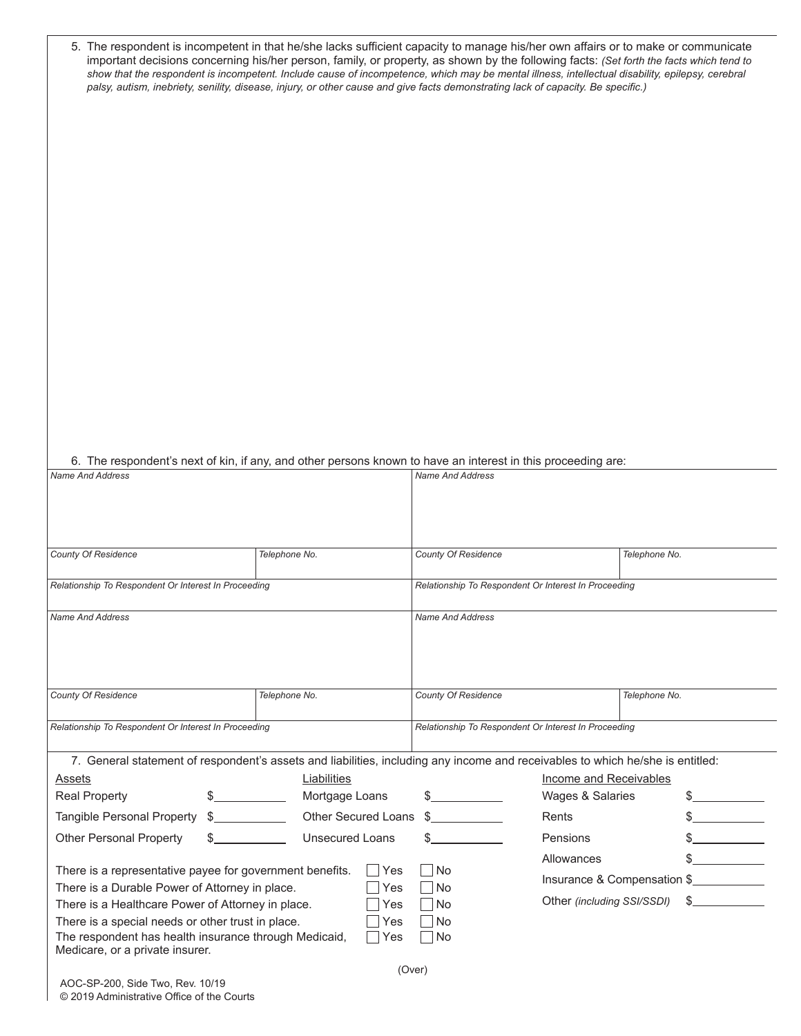| 5. The respondent is incompetent in that he/she lacks sufficient capacity to manage his/her own affairs or to make or communicate<br>important decisions concerning his/her person, family, or property, as shown by the following facts: (Set forth the facts which tend to<br>show that the respondent is incompetent. Include cause of incompetence, which may be mental illness, intellectual disability, epilepsy, cerebral<br>palsy, autism, inebriety, senility, disease, injury, or other cause and give facts demonstrating lack of capacity. Be specific.) |                                                                                                                            |                                                      |                               |                               |
|----------------------------------------------------------------------------------------------------------------------------------------------------------------------------------------------------------------------------------------------------------------------------------------------------------------------------------------------------------------------------------------------------------------------------------------------------------------------------------------------------------------------------------------------------------------------|----------------------------------------------------------------------------------------------------------------------------|------------------------------------------------------|-------------------------------|-------------------------------|
|                                                                                                                                                                                                                                                                                                                                                                                                                                                                                                                                                                      |                                                                                                                            |                                                      |                               |                               |
| 6. The respondent's next of kin, if any, and other persons known to have an interest in this proceeding are:                                                                                                                                                                                                                                                                                                                                                                                                                                                         |                                                                                                                            |                                                      |                               |                               |
| <b>Name And Address</b>                                                                                                                                                                                                                                                                                                                                                                                                                                                                                                                                              |                                                                                                                            | <b>Name And Address</b>                              |                               |                               |
| <b>County Of Residence</b>                                                                                                                                                                                                                                                                                                                                                                                                                                                                                                                                           | Telephone No.                                                                                                              | <b>County Of Residence</b>                           |                               | Telephone No.                 |
|                                                                                                                                                                                                                                                                                                                                                                                                                                                                                                                                                                      |                                                                                                                            |                                                      |                               |                               |
| Relationship To Respondent Or Interest In Proceeding                                                                                                                                                                                                                                                                                                                                                                                                                                                                                                                 |                                                                                                                            | Relationship To Respondent Or Interest In Proceeding |                               |                               |
| <b>Name And Address</b>                                                                                                                                                                                                                                                                                                                                                                                                                                                                                                                                              |                                                                                                                            | <b>Name And Address</b>                              |                               |                               |
| <b>County Of Residence</b>                                                                                                                                                                                                                                                                                                                                                                                                                                                                                                                                           | Telephone No.                                                                                                              | <b>County Of Residence</b>                           |                               | Telephone No.                 |
| Relationship To Respondent Or Interest In Proceeding                                                                                                                                                                                                                                                                                                                                                                                                                                                                                                                 |                                                                                                                            | Relationship To Respondent Or Interest In Proceeding |                               |                               |
| 7. General statement of respondent's assets and liabilities, including any income and receivables to which he/she is entitled:                                                                                                                                                                                                                                                                                                                                                                                                                                       |                                                                                                                            |                                                      |                               |                               |
| Assets                                                                                                                                                                                                                                                                                                                                                                                                                                                                                                                                                               | Liabilities                                                                                                                |                                                      | <b>Income and Receivables</b> |                               |
| <b>Real Property</b>                                                                                                                                                                                                                                                                                                                                                                                                                                                                                                                                                 | Mortgage Loans                                                                                                             |                                                      | Wages & Salaries              |                               |
|                                                                                                                                                                                                                                                                                                                                                                                                                                                                                                                                                                      | $\mathcal{L}^{\mathcal{L}}(\mathcal{L}^{\mathcal{L}})$ . The set of $\mathcal{L}^{\mathcal{L}}(\mathcal{L}^{\mathcal{L}})$ |                                                      |                               | $\frac{1}{2}$                 |
| Tangible Personal Property<br>$\frac{1}{2}$                                                                                                                                                                                                                                                                                                                                                                                                                                                                                                                          | Other Secured Loans                                                                                                        | $\frac{1}{2}$                                        | Rents                         |                               |
| <b>Other Personal Property</b>                                                                                                                                                                                                                                                                                                                                                                                                                                                                                                                                       | <b>Unsecured Loans</b>                                                                                                     |                                                      | Pensions                      |                               |
|                                                                                                                                                                                                                                                                                                                                                                                                                                                                                                                                                                      |                                                                                                                            |                                                      | Allowances                    |                               |
| There is a representative payee for government benefits.                                                                                                                                                                                                                                                                                                                                                                                                                                                                                                             | Yes                                                                                                                        | No.<br><b>No</b>                                     |                               | Insurance & Compensation \$   |
| There is a Durable Power of Attorney in place.                                                                                                                                                                                                                                                                                                                                                                                                                                                                                                                       | Yes                                                                                                                        | No                                                   | Other (including SSI/SSDI)    | $\mathbb{S}$ and $\mathbb{S}$ |
| There is a Healthcare Power of Attorney in place.                                                                                                                                                                                                                                                                                                                                                                                                                                                                                                                    | Yes                                                                                                                        |                                                      |                               |                               |
| There is a special needs or other trust in place.<br>The respondent has health insurance through Medicaid,<br>Medicare, or a private insurer.                                                                                                                                                                                                                                                                                                                                                                                                                        | Yes<br>Yes                                                                                                                 | No<br>No                                             |                               |                               |
|                                                                                                                                                                                                                                                                                                                                                                                                                                                                                                                                                                      |                                                                                                                            | $(\bigcap_{x \in \Gamma}$                            |                               |                               |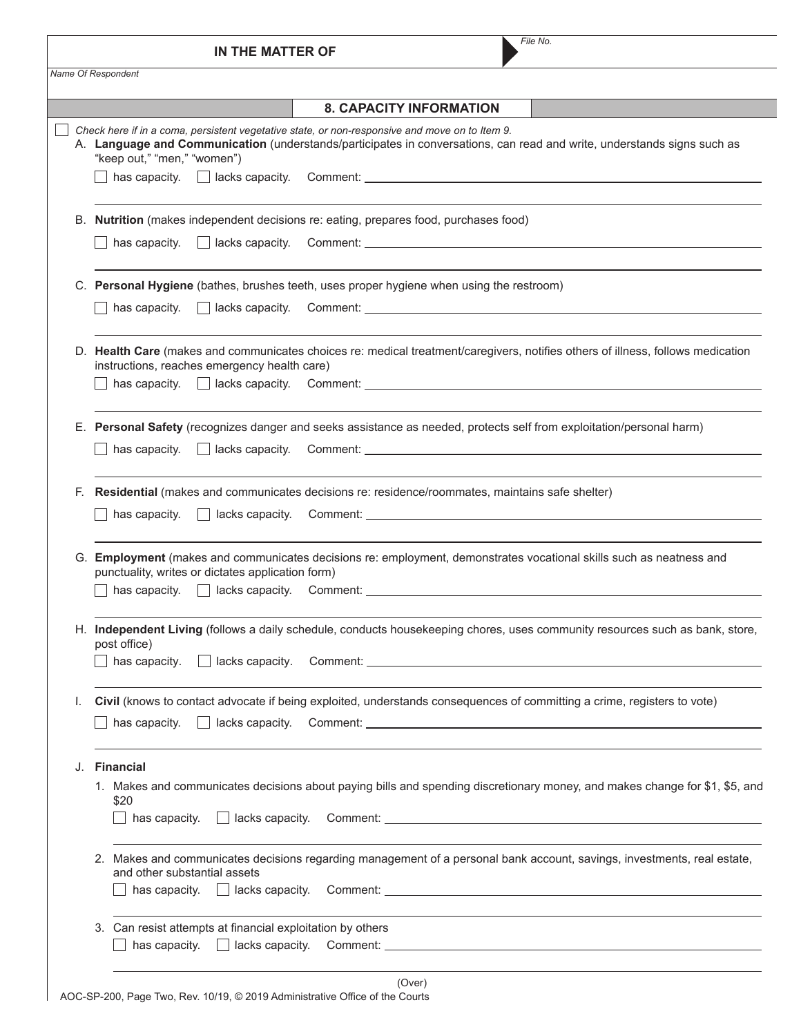|    | File No.<br>IN THE MATTER OF                                                                                                                                                                                                                                                   |  |  |  |  |  |  |
|----|--------------------------------------------------------------------------------------------------------------------------------------------------------------------------------------------------------------------------------------------------------------------------------|--|--|--|--|--|--|
|    | Name Of Respondent                                                                                                                                                                                                                                                             |  |  |  |  |  |  |
|    | <b>8. CAPACITY INFORMATION</b>                                                                                                                                                                                                                                                 |  |  |  |  |  |  |
|    | Check here if in a coma, persistent vegetative state, or non-responsive and move on to Item 9.<br>A. Language and Communication (understands/participates in conversations, can read and write, understands signs such as<br>"keep out," "men," "women")                       |  |  |  |  |  |  |
|    |                                                                                                                                                                                                                                                                                |  |  |  |  |  |  |
| В. | Nutrition (makes independent decisions re: eating, prepares food, purchases food)                                                                                                                                                                                              |  |  |  |  |  |  |
|    | has capacity. $\Box$ lacks capacity. Comment: $\Box$                                                                                                                                                                                                                           |  |  |  |  |  |  |
|    | C. Personal Hygiene (bathes, brushes teeth, uses proper hygiene when using the restroom)                                                                                                                                                                                       |  |  |  |  |  |  |
|    | has capacity.                                                                                                                                                                                                                                                                  |  |  |  |  |  |  |
|    | D. Health Care (makes and communicates choices re: medical treatment/caregivers, notifies others of illness, follows medication<br>instructions, reaches emergency health care)                                                                                                |  |  |  |  |  |  |
|    |                                                                                                                                                                                                                                                                                |  |  |  |  |  |  |
|    | E. Personal Safety (recognizes danger and seeks assistance as needed, protects self from exploitation/personal harm)                                                                                                                                                           |  |  |  |  |  |  |
|    | $\Box$ lacks capacity.<br>has capacity.                                                                                                                                                                                                                                        |  |  |  |  |  |  |
| F. | Residential (makes and communicates decisions re: residence/roommates, maintains safe shelter)                                                                                                                                                                                 |  |  |  |  |  |  |
|    |                                                                                                                                                                                                                                                                                |  |  |  |  |  |  |
|    | G. Employment (makes and communicates decisions re: employment, demonstrates vocational skills such as neatness and<br>punctuality, writes or dictates application form)                                                                                                       |  |  |  |  |  |  |
|    | has capacity. $\Box$ lacks capacity. Comment: $\Box$                                                                                                                                                                                                                           |  |  |  |  |  |  |
|    | H. Independent Living (follows a daily schedule, conducts housekeeping chores, uses community resources such as bank, store,<br>post office)                                                                                                                                   |  |  |  |  |  |  |
|    | $\Box$ lacks capacity.<br>has capacity.                                                                                                                                                                                                                                        |  |  |  |  |  |  |
| I. | Civil (knows to contact advocate if being exploited, understands consequences of committing a crime, registers to vote)                                                                                                                                                        |  |  |  |  |  |  |
|    | has capacity.<br>$\perp$                                                                                                                                                                                                                                                       |  |  |  |  |  |  |
| J. | <b>Financial</b>                                                                                                                                                                                                                                                               |  |  |  |  |  |  |
|    | 1. Makes and communicates decisions about paying bills and spending discretionary money, and makes change for \$1, \$5, and<br>\$20<br>$\Box$ lacks capacity.<br>has capacity.                                                                                                 |  |  |  |  |  |  |
|    | 2. Makes and communicates decisions regarding management of a personal bank account, savings, investments, real estate,<br>and other substantial assets                                                                                                                        |  |  |  |  |  |  |
|    | has capacity.<br>$\Box$ lacks capacity.<br><b>Comment:</b> Comment Comment Comment Comment Comment Comment Comment Comment Comment Comment Comment Comment Comment Comment Comment Comment Comment Comment Comment Comment Comment Comment Comment Comment Comment Comment Com |  |  |  |  |  |  |
|    | 3. Can resist attempts at financial exploitation by others<br>$\Box$ lacks capacity.<br>has capacity.                                                                                                                                                                          |  |  |  |  |  |  |
|    |                                                                                                                                                                                                                                                                                |  |  |  |  |  |  |
|    | $(QV^{\alpha})$                                                                                                                                                                                                                                                                |  |  |  |  |  |  |